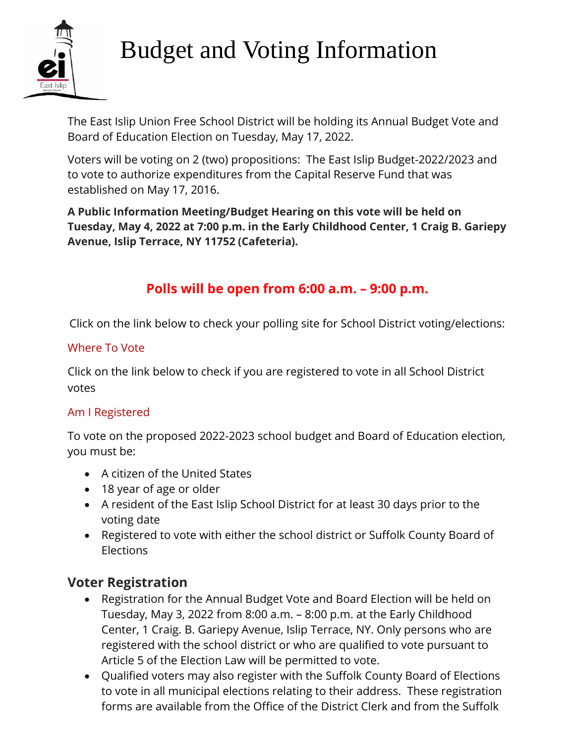

# Budget and Voting Information

The East Islip Union Free School District will be holding its Annual Budget Vote and Board of Education Election on Tuesday, May 17, 2022.

Voters will be voting on 2 (two) propositions: The East Islip Budget-2022/2023 and to vote to authorize expenditures from the Capital Reserve Fund that was established on May 17, 2016.

**A Public Information Meeting/Budget Hearing on this vote will be held on Tuesday, May 4, 2022 at 7:00 p.m. in the Early Childhood Center, 1 Craig B. Gariepy Avenue, Islip Terrace, NY 11752 (Cafeteria).**

## **Polls will be open from 6:00 a.m. – 9:00 p.m.**

Click on the link below to check your polling site for School District voting/elections:

#### [Where To Vote](https://nam12.safelinks.protection.outlook.com/?url=https%3A%2F%2Fes.findmypollplace.com%2Feastislipufsd%2F&data=04%7C01%7Cjmann%40eischools.org%7C859e86e1b178483b248108d8f9f1b62d%7Cce47f7faa8fb4cda944e66eebfda1b77%7C1%7C0%7C637534163851301100%7CUnknown%7CTWFpbGZsb3d8eyJWIjoiMC4wLjAwMDAiLCJQIjoiV2luMzIiLCJBTiI6Ik1haWwiLCJXVCI6Mn0%3D%7C1000&sdata=srr2QEg4Cf2sPi%2FsGvaYQo4mOhwPzQ5ypsijjKeQ4tQ%3D&reserved=0)

Click on the link below to check if you are registered to vote in all School District votes

#### [Am I Registered](https://nam12.safelinks.protection.outlook.com/?url=https%3A%2F%2Fes.findmypollplace.com%2Feastislipufsd%2FAmIRegistered.aspx%3Flanguage%3Den&data=04%7C01%7Cjmann%40eischools.org%7C859e86e1b178483b248108d8f9f1b62d%7Cce47f7faa8fb4cda944e66eebfda1b77%7C1%7C0%7C637534163851311100%7CUnknown%7CTWFpbGZsb3d8eyJWIjoiMC4wLjAwMDAiLCJQIjoiV2luMzIiLCJBTiI6Ik1haWwiLCJXVCI6Mn0%3D%7C1000&sdata=mvDiQ78HRaG%2BKrTipyBkyksnF7IyK5RV9j956A%2FGf1s%3D&reserved=0)

To vote on the proposed 2022-2023 school budget and Board of Education election, you must be:

- A citizen of the United States
- 18 year of age or older
- A resident of the East Islip School District for at least 30 days prior to the voting date
- Registered to vote with either the school district or Suffolk County Board of Elections

#### **Voter Registration**

- Registration for the Annual Budget Vote and Board Election will be held on Tuesday, May 3, 2022 from 8:00 a.m. – 8:00 p.m. at the Early Childhood Center, 1 Craig. B. Gariepy Avenue, Islip Terrace, NY. Only persons who are registered with the school district or who are qualified to vote pursuant to Article 5 of the Election Law will be permitted to vote.
- Qualified voters may also register with the Suffolk County Board of Elections to vote in all municipal elections relating to their address. These registration forms are available from the Office of the District Clerk and from the Suffolk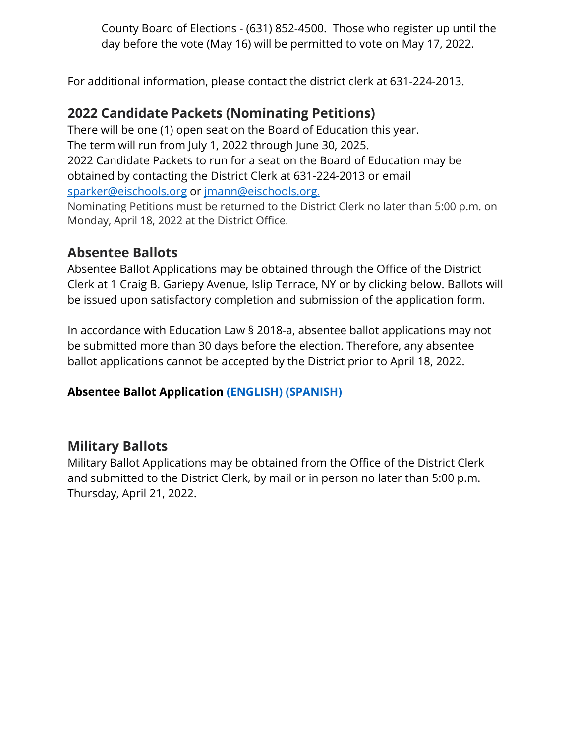County Board of Elections - (631) 852-4500. Those who register up until the day before the vote (May 16) will be permitted to vote on May 17, 2022.

For additional information, please contact the district clerk at 631-224-2013.

### **2022 Candidate Packets (Nominating Petitions)**

There will be one (1) open seat on the Board of Education this year. The term will run from July 1, 2022 through June 30, 2025. 2022 Candidate Packets to run for a seat on the Board of Education may be obtained by contacting the District Clerk at 631-224-2013 or email sparker@eischools.org or jmann@eischools.org.

Nominating Petitions must be returned to the District Clerk no later than 5:00 p.m. on Monday, April 18, 2022 at the District Office.

#### **Absentee Ballots**

Absentee Ballot Applications may be obtained through the Office of the District Clerk at 1 Craig B. Gariepy Avenue, Islip Terrace, NY or by clicking below. Ballots will be issued upon satisfactory completion and submission of the application form.

In accordance with Education Law § 2018-a, absentee ballot applications may not be submitted more than 30 days before the election. Therefore, any absentee ballot applications cannot be accepted by the District prior to April 18, 2022.

#### **Absentee Ballot Application [\(ENGLISH\)](https://eastislipufsd.sharepoint.com/sites/AllDistrictOfficeStaff-SUPOFFICE/Shared%20Documents/SUP%20OFFICE/SS/BUDGET%202021/ABSENTEE%20BALLOTS_LETTERS/ABSENTEE%20BALLOT%20APPLICATION-ENGLISH.pdf) [\(SPANISH\)](https://eastislipufsd.sharepoint.com/sites/AllDistrictOfficeStaff-SUPOFFICE/Shared%20Documents/SUP%20OFFICE/SS/BUDGET%202021/ABSENTEE%20BALLOTS_LETTERS/absentee-ballot-application-and-instructions-spanish.pdf)**

#### **Military Ballots**

Military Ballot Applications may be obtained from the Office of the District Clerk and submitted to the District Clerk, by mail or in person no later than 5:00 p.m. Thursday, April 21, 2022.